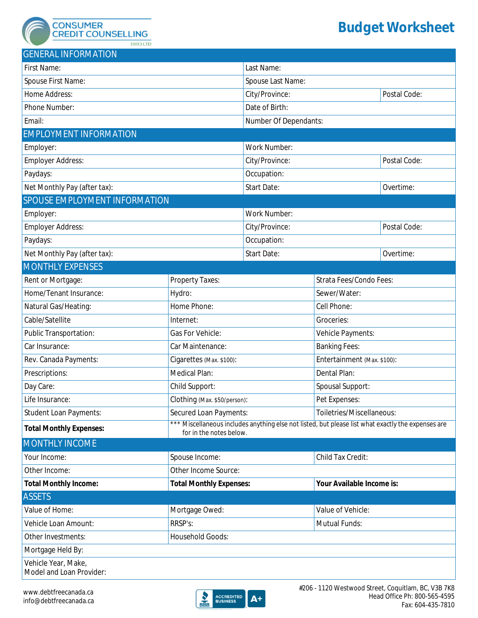**CONSUMER CREDIT COUNSELLING** 

1993 LTD

## **Budget Worksheet**

| <b>GENERAL INFORMATION</b>                      |                                                                                                                               |                                |                             |                                       |  |
|-------------------------------------------------|-------------------------------------------------------------------------------------------------------------------------------|--------------------------------|-----------------------------|---------------------------------------|--|
| First Name:                                     |                                                                                                                               | Last Name:                     |                             |                                       |  |
| Spouse First Name:                              |                                                                                                                               | Spouse Last Name:              |                             |                                       |  |
| Home Address:                                   |                                                                                                                               | City/Province:<br>Postal Code: |                             |                                       |  |
| Phone Number:                                   |                                                                                                                               | Date of Birth:                 |                             |                                       |  |
| Email:                                          |                                                                                                                               | Number Of Dependants:          |                             |                                       |  |
| <b>EMPLOYMENT INFORMATION</b>                   |                                                                                                                               |                                |                             |                                       |  |
| Employer:                                       |                                                                                                                               | Work Number:                   |                             |                                       |  |
| Employer Address:                               |                                                                                                                               | City/Province:                 |                             | Postal Code:                          |  |
| Paydays:                                        |                                                                                                                               | Occupation:                    |                             |                                       |  |
| Net Monthly Pay (after tax):                    |                                                                                                                               | <b>Start Date:</b>             |                             | Overtime:<br>$\vert \vert$            |  |
| SPOUSE EMPLOYMENT INFORMATION                   |                                                                                                                               |                                |                             |                                       |  |
| Employer:                                       |                                                                                                                               | Work Number:                   |                             |                                       |  |
| <b>Employer Address:</b>                        |                                                                                                                               | City/Province:                 |                             | Postal Code:                          |  |
| Paydays:                                        |                                                                                                                               | Occupation:                    |                             |                                       |  |
| Net Monthly Pay (after tax):                    |                                                                                                                               | <b>Start Date:</b>             |                             | Overtime:<br>$\vert \mathbf{v} \vert$ |  |
| <b>MONTHLY EXPENSES</b>                         |                                                                                                                               |                                |                             |                                       |  |
| Rent or Mortgage:                               | Property Taxes:                                                                                                               |                                | Strata Fees/Condo Fees:     |                                       |  |
| Home/Tenant Insurance:                          | Hydro:                                                                                                                        |                                | Sewer/Water:                |                                       |  |
| Natural Gas/Heating:                            | Home Phone:                                                                                                                   |                                | Cell Phone:                 |                                       |  |
| Cable/Satellite                                 | Internet:                                                                                                                     |                                | Groceries:                  |                                       |  |
| Public Transportation:                          | Gas For Vehicle:                                                                                                              |                                | Vehicle Payments:           |                                       |  |
| Car Insurance:                                  | Car Maintenance:                                                                                                              |                                | <b>Banking Fees:</b>        |                                       |  |
| Rev. Canada Payments:                           | Cigarettes (Max. \$100):                                                                                                      |                                | Entertainment (Max. \$100): |                                       |  |
| Prescriptions:                                  | Medical Plan:                                                                                                                 |                                | Dental Plan:                |                                       |  |
| Day Care:                                       | Child Support:                                                                                                                |                                | Spousal Support:            |                                       |  |
| Life Insurance:                                 | Clothing (Max. \$50/person):                                                                                                  |                                | Pet Expenses:               |                                       |  |
| <b>Student Loan Payments:</b>                   | Secured Loan Payments:                                                                                                        |                                | Toiletries/Miscellaneous:   |                                       |  |
| <b>Total Monthly Expenses:</b>                  | *** Miscellaneous includes anything else not listed, but please list what exactly the expenses are<br>for in the notes below. |                                |                             |                                       |  |
| <b>MONTHLY INCOME</b>                           |                                                                                                                               |                                |                             |                                       |  |
| Your Income:                                    | Spouse Income:                                                                                                                |                                | Child Tax Credit:           |                                       |  |
| Other Income:                                   | Other Income Source:                                                                                                          |                                |                             |                                       |  |
| <b>Total Monthly Income:</b>                    | <b>Total Monthly Expenses:</b>                                                                                                |                                | Your Available Income is:   |                                       |  |
| <b>ASSETS</b>                                   |                                                                                                                               |                                |                             |                                       |  |
| Value of Home:                                  | Mortgage Owed:                                                                                                                |                                | Value of Vehicle:           |                                       |  |
| Vehicle Loan Amount:                            | RRSP's:                                                                                                                       |                                | Mutual Funds:               |                                       |  |
| Other Investments:                              | Household Goods:                                                                                                              |                                |                             |                                       |  |
| Mortgage Held By:                               |                                                                                                                               |                                |                             |                                       |  |
| Vehicle Year, Make,<br>Model and Loan Provider: |                                                                                                                               |                                |                             |                                       |  |